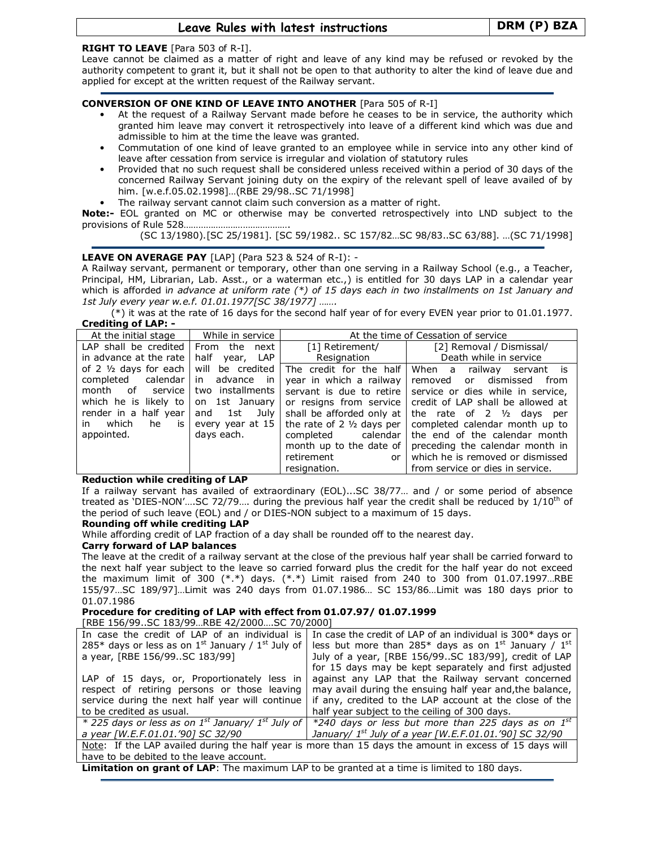# Leave Rules with latest instructions | DRM (P) BZA

# RIGHT TO LEAVE [Para 503 of R-I].

Leave cannot be claimed as a matter of right and leave of any kind may be refused or revoked by the authority competent to grant it, but it shall not be open to that authority to alter the kind of leave due and applied for except at the written request of the Railway servant.

# CONVERSION OF ONE KIND OF LEAVE INTO ANOTHER [Para 505 of R-I]

- At the request of a Railway Servant made before he ceases to be in service, the authority which granted him leave may convert it retrospectively into leave of a different kind which was due and admissible to him at the time the leave was granted.
- Commutation of one kind of leave granted to an employee while in service into any other kind of leave after cessation from service is irregular and violation of statutory rules
- Provided that no such request shall be considered unless received within a period of 30 days of the concerned Railway Servant joining duty on the expiry of the relevant spell of leave availed of by him. [w.e.f.05.02.1998]…(RBE 29/98..SC 71/1998]
- The railway servant cannot claim such conversion as a matter of right.

Note:- EOL granted on MC or otherwise may be converted retrospectively into LND subject to the provisions of Rule 528…………………………………….

(SC 13/1980).[SC 25/1981]. [SC 59/1982.. SC 157/82…SC 98/83..SC 63/88]. …(SC 71/1998]

# **LEAVE ON AVERAGE PAY** [LAP] (Para 523  $\&$  524 of R-I): -

A Railway servant, permanent or temporary, other than one serving in a Railway School (e.g., a Teacher, Principal, HM, Librarian, Lab. Asst., or a waterman etc.,) is entitled for 30 days LAP in a calendar year which is afforded in advance at uniform rate  $(*)$  of 15 days each in two installments on 1st January and 1st July every year w.e.f. 01.01.1977[SC 38/1977] …….

(\*) it was at the rate of 16 days for the second half year of for every EVEN year prior to 01.01.1977. Crediting of LAP: -

| Column of LAL.                     |                   |                                      |                                      |  |  |  |  |
|------------------------------------|-------------------|--------------------------------------|--------------------------------------|--|--|--|--|
| At the initial stage               | While in service  |                                      | At the time of Cessation of service  |  |  |  |  |
| LAP shall be credited $\vert$      | From the next     | [1] Retirement/                      | [2] Removal / Dismissal/             |  |  |  |  |
| in advance at the rate             | half<br>year, LAP | Resignation                          | Death while in service               |  |  |  |  |
| of 2 $\frac{1}{2}$ days for each   | will be credited  | The credit for the half              | When a railway servant is            |  |  |  |  |
| completed calendar   in advance in |                   | year in which a railway              | removed or dismissed from            |  |  |  |  |
| month of service                   | two installments  | servant is due to retire             | service or dies while in service,    |  |  |  |  |
| which he is likely to              | on 1st January    | or resigns from service              | credit of LAP shall be allowed at    |  |  |  |  |
| render in a half year              | and 1st July      | shall be afforded only at            | the rate of $2 \frac{1}{2}$ days per |  |  |  |  |
| which<br>he<br>is<br>in.           | every year at 15  | the rate of $2 \frac{1}{2}$ days per | completed calendar month up to       |  |  |  |  |
| appointed.                         | days each.        | completed calendar                   | the end of the calendar month        |  |  |  |  |
|                                    |                   | month up to the date of              | preceding the calendar month in      |  |  |  |  |
|                                    |                   | retirement<br>or <sub>l</sub>        | which he is removed or dismissed     |  |  |  |  |
|                                    |                   | resignation.                         | from service or dies in service.     |  |  |  |  |

# Reduction while crediting of LAP

If a railway servant has availed of extraordinary (EOL)...SC 38/77… and / or some period of absence treated as 'DIES-NON'....SC 72/79.... during the previous half year the credit shall be reduced by  $1/10^{th}$  of the period of such leave (EOL) and / or DIES-NON subject to a maximum of 15 days.

# Rounding off while crediting LAP

While affording credit of LAP fraction of a day shall be rounded off to the nearest day.

# Carry forward of LAP balances

The leave at the credit of a railway servant at the close of the previous half year shall be carried forward to the next half year subject to the leave so carried forward plus the credit for the half year do not exceed the maximum limit of 300  $(**)$  days.  $(**)$  Limit raised from 240 to 300 from 01.07.1997...RBE 155/97…SC 189/97]…Limit was 240 days from 01.07.1986… SC 153/86…Limit was 180 days prior to 01.07.1986

# Procedure for crediting of LAP with effect from 01.07.97/ 01.07.1999

[RBE 156/99..SC 183/99…RBE 42/2000….SC 70/2000]

| In case the credit of LAP of an individual is                                                           | In case the credit of LAP of an individual is 300* days or                                                                                      |  |  |  |
|---------------------------------------------------------------------------------------------------------|-------------------------------------------------------------------------------------------------------------------------------------------------|--|--|--|
| 285* days or less as on $1^{st}$ January / $1^{st}$ July of                                             | less but more than 285 <sup>*</sup> days as on $1^{st}$ January / $1^{st}$                                                                      |  |  |  |
| a year, [RBE 156/99SC 183/99]                                                                           | July of a year, [RBE 156/99SC 183/99], credit of LAP                                                                                            |  |  |  |
|                                                                                                         | for 15 days may be kept separately and first adjusted                                                                                           |  |  |  |
| LAP of 15 days, or, Proportionately less in                                                             | against any LAP that the Railway servant concerned                                                                                              |  |  |  |
| respect of retiring persons or those leaving                                                            | may avail during the ensuing half year and, the balance,                                                                                        |  |  |  |
| service during the next half year will continue                                                         | if any, credited to the LAP account at the close of the                                                                                         |  |  |  |
| to be credited as usual.                                                                                | half year subject to the ceiling of 300 days.                                                                                                   |  |  |  |
|                                                                                                         | $*$ 225 days or less as on 1 <sup>st</sup> January/ 1 <sup>st</sup> July of   $*$ 240 days or less but more than 225 days as on 1 <sup>st</sup> |  |  |  |
| a year [W.E.F.01.01.'90] SC 32/90                                                                       | January/ $1^{st}$ July of a year [W.E.F.01.01.'90] SC 32/90                                                                                     |  |  |  |
| Note: If the LAP availed during the half year is more than 15 days the amount in excess of 15 days will |                                                                                                                                                 |  |  |  |
| have to be debited to the leave account.                                                                |                                                                                                                                                 |  |  |  |
|                                                                                                         |                                                                                                                                                 |  |  |  |

**Limitation on grant of LAP**: The maximum LAP to be granted at a time is limited to 180 days.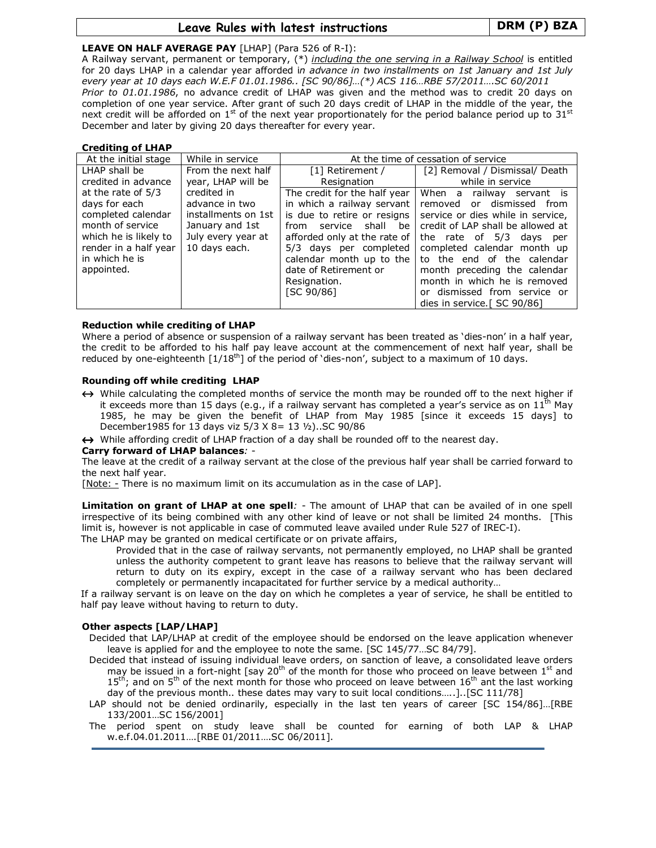# Leave Rules with latest instructions Fig. 2014 | DRM (P) BZA

# LEAVE ON HALF AVERAGE PAY [LHAP] (Para 526 of R-I):

A Railway servant, permanent or temporary, (\*) including the one serving in a Railway School is entitled for 20 days LHAP in a calendar year afforded in advance in two installments on 1st January and 1st July every year at 10 days each W.E.F 01.01.1986.. [SC 90/86]…(\*) ACS 116…RBE 57/2011….SC 60/2011 Prior to 01.01.1986, no advance credit of LHAP was given and the method was to credit 20 days on completion of one year service. After grant of such 20 days credit of LHAP in the middle of the year, the next credit will be afforded on  $1<sup>st</sup>$  of the next year proportionately for the period balance period up to 31 $<sup>st</sup>$ </sup> December and later by giving 20 days thereafter for every year.

# Crediting of LHAP

| At the initial stage  | While in service    | At the time of cessation of service |                                   |  |  |
|-----------------------|---------------------|-------------------------------------|-----------------------------------|--|--|
| LHAP shall be         | From the next half  | [1] Retirement /                    | [2] Removal / Dismissal/ Death    |  |  |
| credited in advance   | year, LHAP will be  | Resignation                         | while in service                  |  |  |
| at the rate of 5/3    | credited in         | The credit for the half year        | When a<br>railway servant is      |  |  |
| days for each         | advance in two      | in which a railway servant          | removed or dismissed<br>from      |  |  |
| completed calendar    | installments on 1st | is due to retire or resigns         | service or dies while in service, |  |  |
| month of service      | January and 1st     | service<br>shall be<br>from         | credit of LAP shall be allowed at |  |  |
| which he is likely to | July every year at  | afforded only at the rate of        | the rate of 5/3 days<br>per       |  |  |
| render in a half year | 10 days each.       | 5/3 days per completed              | completed calendar month up       |  |  |
| in which he is        |                     | calendar month up to the            | to the end of the calendar        |  |  |
| appointed.            |                     | date of Retirement or               | month preceding the calendar      |  |  |
|                       |                     | Resignation.                        | month in which he is removed      |  |  |
|                       |                     | [SC 90/86]                          | or dismissed from service or      |  |  |
|                       |                     |                                     | dies in service. [ SC 90/86]      |  |  |

# Reduction while crediting of LHAP

Where a period of absence or suspension of a railway servant has been treated as 'dies-non' in a half year, the credit to be afforded to his half pay leave account at the commencement of next half year, shall be reduced by one-eighteenth  $[1/18<sup>th</sup>]$  of the period of 'dies-non', subject to a maximum of 10 days.

# Rounding off while crediting LHAP

↔ While calculating the completed months of service the month may be rounded off to the next higher if it exceeds more than 15 days (e.g., if a railway servant has completed a year's service as on 11<sup>th</sup> May 1985, he may be given the benefit of LHAP from May 1985 [since it exceeds 15 days] to December1985 for 13 days viz 5/3 X 8= 13 ½)..SC 90/86

↔ While affording credit of LHAP fraction of a day shall be rounded off to the nearest day.

# Carry forward of LHAP balances: -

The leave at the credit of a railway servant at the close of the previous half year shall be carried forward to the next half year.

[Note: - There is no maximum limit on its accumulation as in the case of LAP].

Limitation on grant of LHAP at one spell: - The amount of LHAP that can be availed of in one spell irrespective of its being combined with any other kind of leave or not shall be limited 24 months. [This limit is, however is not applicable in case of commuted leave availed under Rule 527 of IREC-I). The LHAP may be granted on medical certificate or on private affairs,

Provided that in the case of railway servants, not permanently employed, no LHAP shall be granted unless the authority competent to grant leave has reasons to believe that the railway servant will return to duty on its expiry, except in the case of a railway servant who has been declared completely or permanently incapacitated for further service by a medical authority…

If a railway servant is on leave on the day on which he completes a year of service, he shall be entitled to half pay leave without having to return to duty.

# Other aspects [LAP/LHAP]

Decided that LAP/LHAP at credit of the employee should be endorsed on the leave application whenever leave is applied for and the employee to note the same. [SC 145/77…SC 84/79].

- Decided that instead of issuing individual leave orders, on sanction of leave, a consolidated leave orders may be issued in a fort-night [say 20<sup>th</sup> of the month for those who proceed on leave between 1<sup>st</sup> and  $15<sup>th</sup>$ ; and on  $5<sup>th</sup>$  of the next month for those who proceed on leave between  $16<sup>th</sup>$  ant the last working day of the previous month.. these dates may vary to suit local conditions…..]..[SC 111/78]
- LAP should not be denied ordinarily, especially in the last ten years of career [SC 154/86]...[RBE 133/2001…SC 156/2001]

The period spent on study leave shall be counted for earning of both LAP & LHAP w.e.f.04.01.2011….[RBE 01/2011….SC 06/2011].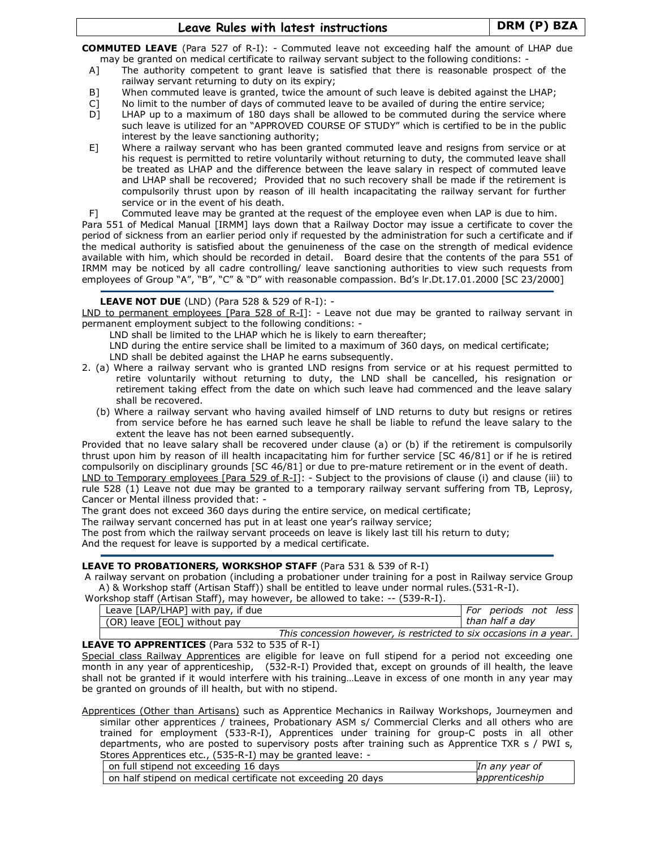# Leave Rules with latest instructions Fig. 2014 | DRM (P) BZA

COMMUTED LEAVE (Para 527 of R-I): - Commuted leave not exceeding half the amount of LHAP due may be granted on medical certificate to railway servant subject to the following conditions: -

- A] The authority competent to grant leave is satisfied that there is reasonable prospect of the railway servant returning to duty on its expiry;
- B] When commuted leave is granted, twice the amount of such leave is debited against the LHAP;
- C] No limit to the number of days of commuted leave to be availed of during the entire service;
- D] LHAP up to a maximum of 180 days shall be allowed to be commuted during the service where such leave is utilized for an "APPROVED COURSE OF STUDY" which is certified to be in the public interest by the leave sanctioning authority;
- E] Where a railway servant who has been granted commuted leave and resigns from service or at his request is permitted to retire voluntarily without returning to duty, the commuted leave shall be treated as LHAP and the difference between the leave salary in respect of commuted leave and LHAP shall be recovered; Provided that no such recovery shall be made if the retirement is compulsorily thrust upon by reason of ill health incapacitating the railway servant for further service or in the event of his death.
- F] Commuted leave may be granted at the request of the employee even when LAP is due to him.

Para 551 of Medical Manual [IRMM] lays down that a Railway Doctor may issue a certificate to cover the period of sickness from an earlier period only if requested by the administration for such a certificate and if the medical authority is satisfied about the genuineness of the case on the strength of medical evidence available with him, which should be recorded in detail. Board desire that the contents of the para 551 of IRMM may be noticed by all cadre controlling/ leave sanctioning authorities to view such requests from employees of Group "A", "B", "C" & "D" with reasonable compassion. Bd's lr.Dt.17.01.2000 [SC 23/2000]

# LEAVE NOT DUE (LND) (Para 528 & 529 of R-I): -

LND to permanent employees [Para 528 of R-I]: - Leave not due may be granted to railway servant in permanent employment subject to the following conditions: -

LND shall be limited to the LHAP which he is likely to earn thereafter;

LND during the entire service shall be limited to a maximum of 360 days, on medical certificate; LND shall be debited against the LHAP he earns subsequently.

- 2. (a) Where a railway servant who is granted LND resigns from service or at his request permitted to retire voluntarily without returning to duty, the LND shall be cancelled, his resignation or retirement taking effect from the date on which such leave had commenced and the leave salary shall be recovered.
	- (b) Where a railway servant who having availed himself of LND returns to duty but resigns or retires from service before he has earned such leave he shall be liable to refund the leave salary to the extent the leave has not been earned subsequently.

Provided that no leave salary shall be recovered under clause (a) or (b) if the retirement is compulsorily thrust upon him by reason of ill health incapacitating him for further service [SC 46/81] or if he is retired compulsorily on disciplinary grounds [SC 46/81] or due to pre-mature retirement or in the event of death. LND to Temporary employees [Para 529 of R-I]: - Subject to the provisions of clause (i) and clause (iii) to rule 528 (1) Leave not due may be granted to a temporary railway servant suffering from TB, Leprosy, Cancer or Mental illness provided that: -

The grant does not exceed 360 days during the entire service, on medical certificate;

The railway servant concerned has put in at least one year's railway service;

The post from which the railway servant proceeds on leave is likely last till his return to duty; And the request for leave is supported by a medical certificate.

# LEAVE TO PROBATIONERS, WORKSHOP STAFF (Para 531 & 539 of R-I)

A railway servant on probation (including a probationer under training for a post in Railway service Group A) & Workshop staff (Artisan Staff)) shall be entitled to leave under normal rules.(531-R-I).

Workshop staff (Artisan Staff), may however, be allowed to take: -- (539-R-I).

| Leave [LAP/LHAP] with pay, if due |                                                                    | For periods not less |  |
|-----------------------------------|--------------------------------------------------------------------|----------------------|--|
| (OR) leave [EOL] without pay      |                                                                    | than half a dav      |  |
|                                   | This concession however, is restricted to six occasions in a year. |                      |  |

# LEAVE TO APPRENTICES (Para 532 to 535 of R-I)

Special class Railway Apprentices are eligible for leave on full stipend for a period not exceeding one month in any year of apprenticeship, (532-R-I) Provided that, except on grounds of ill health, the leave shall not be granted if it would interfere with his training…Leave in excess of one month in any year may be granted on grounds of ill health, but with no stipend.

Apprentices (Other than Artisans) such as Apprentice Mechanics in Railway Workshops, Journeymen and similar other apprentices / trainees, Probationary ASM s/ Commercial Clerks and all others who are trained for employment (533-R-I), Apprentices under training for group-C posts in all other departments, who are posted to supervisory posts after training such as Apprentice TXR s / PWI s, Stores Apprentices etc., (535-R-I) may be granted leave: -

| on full stipend not exceeding 16 days                        | In any year of |
|--------------------------------------------------------------|----------------|
| on half stipend on medical certificate not exceeding 20 days | apprenticeship |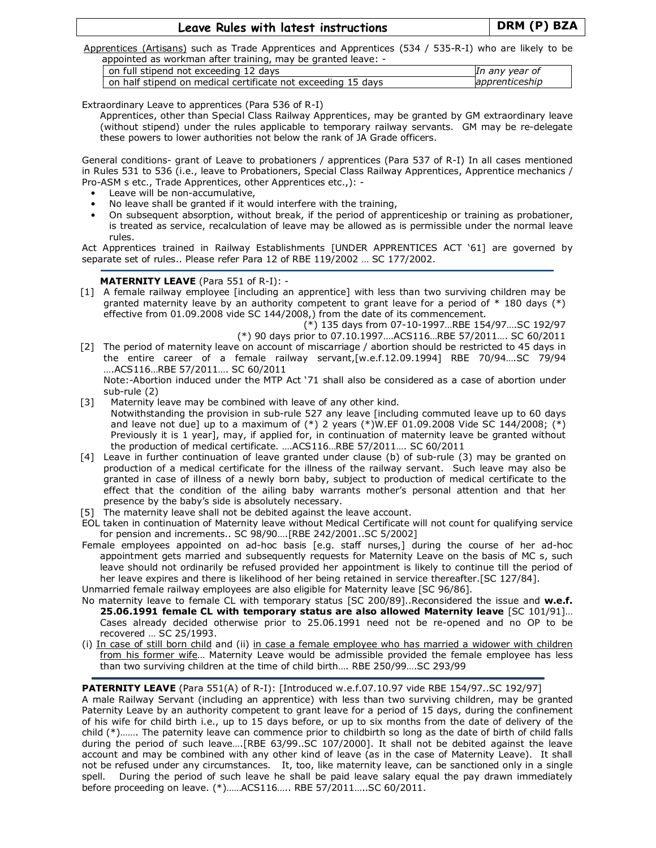# Leave Rules with latest instructions | DRM (P) BZA

Apprentices (Artisans) such as Trade Apprentices and Apprentices (534 / 535-R-I) who are likely to be appointed as workman after training, may be granted leave: -

| on full stipend not exceeding 12 days                        | In any year of |
|--------------------------------------------------------------|----------------|
| on half stipend on medical certificate not exceeding 15 days | apprenticeship |

Extraordinary Leave to apprentices (Para 536 of R-I)

Apprentices, other than Special Class Railway Apprentices, may be granted by GM extraordinary leave (without stipend) under the rules applicable to temporary railway servants. GM may be re-delegate these powers to lower authorities not below the rank of JA Grade officers.

General conditions- grant of Leave to probationers / apprentices (Para 537 of R-I) In all cases mentioned in Rules 531 to 536 (i.e., leave to Probationers, Special Class Railway Apprentices, Apprentice mechanics / Pro-ASM s etc., Trade Apprentices, other Apprentices etc.,): -

- Leave will be non-accumulative,
- No leave shall be granted if it would interfere with the training,
- On subsequent absorption, without break, if the period of apprenticeship or training as probationer, is treated as service, recalculation of leave may be allowed as is permissible under the normal leave rules.

Act Apprentices trained in Railway Establishments [UNDER APPRENTICES ACT '61] are governed by separate set of rules.. Please refer Para 12 of RBE 119/2002 … SC 177/2002.

# MATERNITY LEAVE (Para 551 of R-I): -

[1] A female railway employee [including an apprentice] with less than two surviving children may be granted maternity leave by an authority competent to grant leave for a period of  $*$  180 days  $(*)$ effective from 01.09.2008 vide SC 144/2008,) from the date of its commencement.

(\*) 135 days from 07-10-1997…RBE 154/97….SC 192/97

(\*) 90 days prior to 07.10.1997….ACS116…RBE 57/2011…. SC 60/2011 [2] The period of maternity leave on account of miscarriage / abortion should be restricted to 45 days in the entire career of a female railway servant,[w.e.f.12.09.1994] RBE 70/94….SC 79/94 ….ACS116…RBE 57/2011…. SC 60/2011

Note:-Abortion induced under the MTP Act '71 shall also be considered as a case of abortion under sub-rule (2)

- [3] Maternity leave may be combined with leave of any other kind.
- Notwithstanding the provision in sub-rule 527 any leave [including commuted leave up to 60 days and leave not due] up to a maximum of  $(*)$  2 years  $(*)$ W.EF 01.09.2008 Vide SC 144/2008;  $(*)$ Previously it is 1 year], may, if applied for, in continuation of maternity leave be granted without the production of medical certificate. ….ACS116…RBE 57/2011…. SC 60/2011
- [4] Leave in further continuation of leave granted under clause (b) of sub-rule (3) may be granted on production of a medical certificate for the illness of the railway servant. Such leave may also be granted in case of illness of a newly born baby, subject to production of medical certificate to the effect that the condition of the ailing baby warrants mother's personal attention and that her presence by the baby's side is absolutely necessary.
- [5] The maternity leave shall not be debited against the leave account.
- EOL taken in continuation of Maternity leave without Medical Certificate will not count for qualifying service for pension and increments.. SC 98/90….[RBE 242/2001..SC 5/2002]
- Female employees appointed on ad-hoc basis [e.g. staff nurses,] during the course of her ad-hoc appointment gets married and subsequently requests for Maternity Leave on the basis of MC s, such leave should not ordinarily be refused provided her appointment is likely to continue till the period of her leave expires and there is likelihood of her being retained in service thereafter.[SC 127/84].

Unmarried female railway employees are also eligible for Maternity leave [SC 96/86].

- No maternity leave to female CL with temporary status [SC 200/89]..Reconsidered the issue and w.e.f. 25.06.1991 female CL with temporary status are also allowed Maternity leave [SC 101/91]… Cases already decided otherwise prior to 25.06.1991 need not be re-opened and no OP to be recovered … SC 25/1993.
- (i) In case of still born child and (ii) in case a female employee who has married a widower with children from his former wife… Maternity Leave would be admissible provided the female employee has less than two surviving children at the time of child birth…. RBE 250/99….SC 293/99

# PATERNITY LEAVE (Para 551(A) of R-I): [Introduced w.e.f.07.10.97 vide RBE 154/97..SC 192/97]

A male Railway Servant (including an apprentice) with less than two surviving children, may be granted Paternity Leave by an authority competent to grant leave for a period of 15 days, during the confinement of his wife for child birth i.e., up to 15 days before, or up to six months from the date of delivery of the child (\*)……. The paternity leave can commence prior to childbirth so long as the date of birth of child falls during the period of such leave….[RBE 63/99..SC 107/2000]. It shall not be debited against the leave account and may be combined with any other kind of leave (as in the case of Maternity Leave). It shall not be refused under any circumstances. It, too, like maternity leave, can be sanctioned only in a single spell. During the period of such leave he shall be paid leave salary equal the pay drawn immediately before proceeding on leave. (\*)……ACS116….. RBE 57/2011…..SC 60/2011.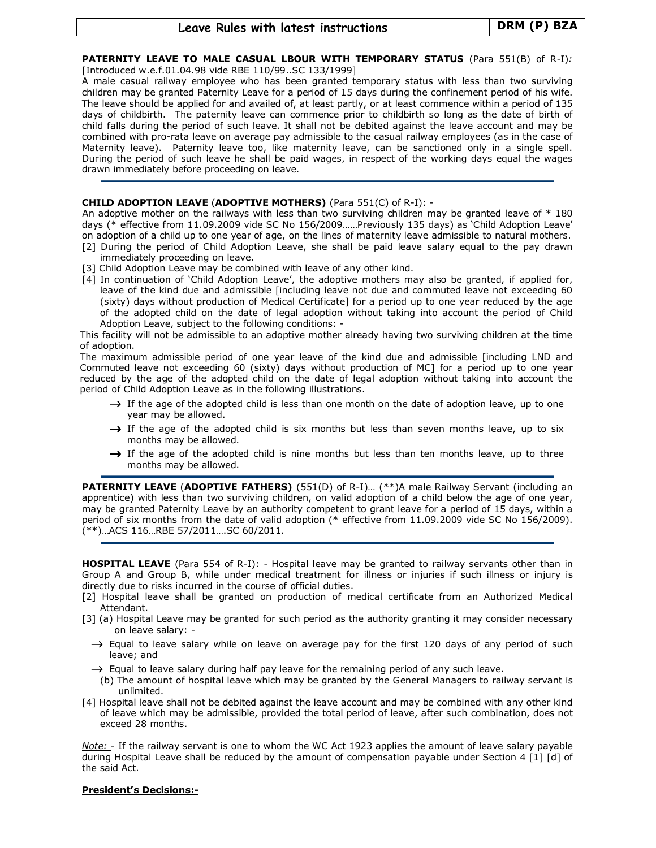#### PATERNITY LEAVE TO MALE CASUAL LBOUR WITH TEMPORARY STATUS (Para 551(B) of R-I): [Introduced w.e.f.01.04.98 vide RBE 110/99..SC 133/1999]

A male casual railway employee who has been granted temporary status with less than two surviving children may be granted Paternity Leave for a period of 15 days during the confinement period of his wife. The leave should be applied for and availed of, at least partly, or at least commence within a period of 135 days of childbirth. The paternity leave can commence prior to childbirth so long as the date of birth of child falls during the period of such leave. It shall not be debited against the leave account and may be combined with pro-rata leave on average pay admissible to the casual railway employees (as in the case of Maternity leave). Paternity leave too, like maternity leave, can be sanctioned only in a single spell. During the period of such leave he shall be paid wages, in respect of the working days equal the wages drawn immediately before proceeding on leave.

### CHILD ADOPTION LEAVE (ADOPTIVE MOTHERS) (Para 551(C) of R-I): -

An adoptive mother on the railways with less than two surviving children may be granted leave of \* 180 days (\* effective from 11.09.2009 vide SC No 156/2009……Previously 135 days) as 'Child Adoption Leave' on adoption of a child up to one year of age, on the lines of maternity leave admissible to natural mothers.

- [2] During the period of Child Adoption Leave, she shall be paid leave salary equal to the pay drawn immediately proceeding on leave.
- [3] Child Adoption Leave may be combined with leave of any other kind.
- [4] In continuation of 'Child Adoption Leave', the adoptive mothers may also be granted, if applied for, leave of the kind due and admissible [including leave not due and commuted leave not exceeding 60 (sixty) days without production of Medical Certificate] for a period up to one year reduced by the age of the adopted child on the date of legal adoption without taking into account the period of Child Adoption Leave, subject to the following conditions: -

This facility will not be admissible to an adoptive mother already having two surviving children at the time of adoption.

The maximum admissible period of one year leave of the kind due and admissible [including LND and Commuted leave not exceeding 60 (sixty) days without production of MC] for a period up to one year reduced by the age of the adopted child on the date of legal adoption without taking into account the period of Child Adoption Leave as in the following illustrations.

- $\rightarrow$  If the age of the adopted child is less than one month on the date of adoption leave, up to one year may be allowed.
- $\rightarrow$  If the age of the adopted child is six months but less than seven months leave, up to six months may be allowed.
- $\rightarrow$  If the age of the adopted child is nine months but less than ten months leave, up to three months may be allowed.

PATERNITY LEAVE (ADOPTIVE FATHERS) (551(D) of R-I)... (\*\*)A male Railway Servant (including an apprentice) with less than two surviving children, on valid adoption of a child below the age of one year, may be granted Paternity Leave by an authority competent to grant leave for a period of 15 days, within a period of six months from the date of valid adoption (\* effective from 11.09.2009 vide SC No 156/2009). (\*\*)…ACS 116…RBE 57/2011….SC 60/2011.

**HOSPITAL LEAVE** (Para 554 of R-I): - Hospital leave may be granted to railway servants other than in Group A and Group B, while under medical treatment for illness or injuries if such illness or injury is directly due to risks incurred in the course of official duties.

- [2] Hospital leave shall be granted on production of medical certificate from an Authorized Medical Attendant.
- [3] (a) Hospital Leave may be granted for such period as the authority granting it may consider necessary on leave salary: -
	- $\rightarrow$  Equal to leave salary while on leave on average pay for the first 120 days of any period of such leave; and
	- $\rightarrow$  Equal to leave salary during half pay leave for the remaining period of any such leave.
	- (b) The amount of hospital leave which may be granted by the General Managers to railway servant is unlimited.
- [4] Hospital leave shall not be debited against the leave account and may be combined with any other kind of leave which may be admissible, provided the total period of leave, after such combination, does not exceed 28 months.

Note: - If the railway servant is one to whom the WC Act 1923 applies the amount of leave salary payable during Hospital Leave shall be reduced by the amount of compensation payable under Section 4 [1] [d] of the said Act.

# President's Decisions:-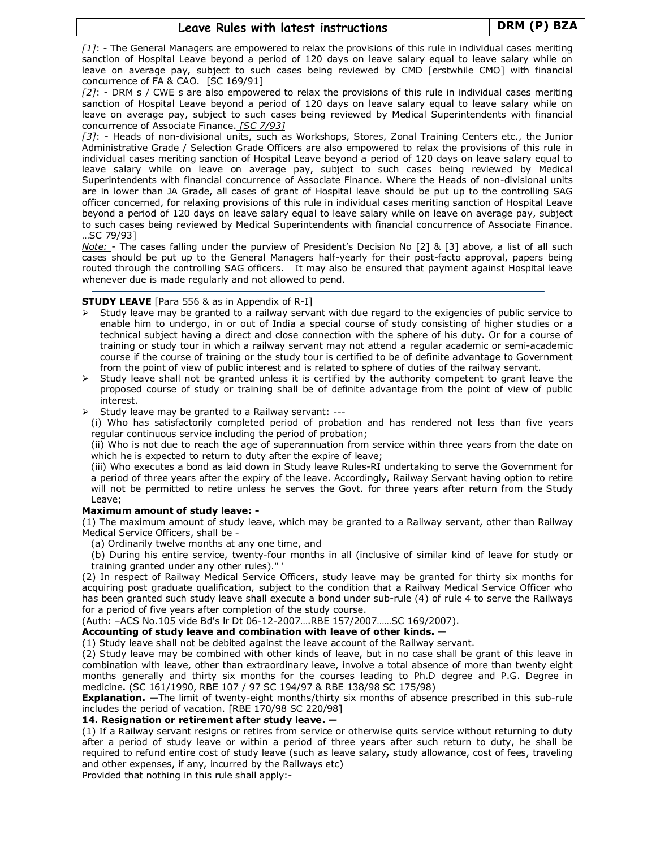$[1]$ : - The General Managers are empowered to relax the provisions of this rule in individual cases meriting sanction of Hospital Leave beyond a period of 120 days on leave salary equal to leave salary while on leave on average pay, subject to such cases being reviewed by CMD [erstwhile CMO] with financial concurrence of FA & CAO. [SC 169/91]

 $[2]$ : - DRM s / CWE s are also empowered to relax the provisions of this rule in individual cases meriting sanction of Hospital Leave beyond a period of 120 days on leave salary equal to leave salary while on leave on average pay, subject to such cases being reviewed by Medical Superintendents with financial concurrence of Associate Finance. [SC 7/93]

[3]: - Heads of non-divisional units, such as Workshops, Stores, Zonal Training Centers etc., the Junior Administrative Grade / Selection Grade Officers are also empowered to relax the provisions of this rule in individual cases meriting sanction of Hospital Leave beyond a period of 120 days on leave salary equal to leave salary while on leave on average pay, subject to such cases being reviewed by Medical Superintendents with financial concurrence of Associate Finance. Where the Heads of non-divisional units are in lower than JA Grade, all cases of grant of Hospital leave should be put up to the controlling SAG officer concerned, for relaxing provisions of this rule in individual cases meriting sanction of Hospital Leave beyond a period of 120 days on leave salary equal to leave salary while on leave on average pay, subject to such cases being reviewed by Medical Superintendents with financial concurrence of Associate Finance. …SC 79/93]

Note: - The cases falling under the purview of President's Decision No [2] & [3] above, a list of all such cases should be put up to the General Managers half-yearly for their post-facto approval, papers being routed through the controlling SAG officers. It may also be ensured that payment against Hospital leave whenever due is made regularly and not allowed to pend.

# **STUDY LEAVE** [Para 556 & as in Appendix of R-I]

- $\triangleright$  Study leave may be granted to a railway servant with due regard to the exigencies of public service to enable him to undergo, in or out of India a special course of study consisting of higher studies or a technical subject having a direct and close connection with the sphere of his duty. Or for a course of training or study tour in which a railway servant may not attend a regular academic or semi-academic course if the course of training or the study tour is certified to be of definite advantage to Government from the point of view of public interest and is related to sphere of duties of the railway servant.
- $\triangleright$  Study leave shall not be granted unless it is certified by the authority competent to grant leave the proposed course of study or training shall be of definite advantage from the point of view of public interest.
- Study leave may be granted to a Railway servant: ---

(i) Who has satisfactorily completed period of probation and has rendered not less than five years regular continuous service including the period of probation;

(ii) Who is not due to reach the age of superannuation from service within three years from the date on which he is expected to return to duty after the expire of leave;

(iii) Who executes a bond as laid down in Study leave Rules-RI undertaking to serve the Government for a period of three years after the expiry of the leave. Accordingly, Railway Servant having option to retire will not be permitted to retire unless he serves the Govt. for three years after return from the Study Leave;

# Maximum amount of study leave: -

(1) The maximum amount of study leave, which may be granted to a Railway servant, other than Railway Medical Service Officers, shall be -

(a) Ordinarily twelve months at any one time, and

(b) During his entire service, twenty-four months in all (inclusive of similar kind of leave for study or training granted under any other rules)." '

(2) In respect of Railway Medical Service Officers, study leave may be granted for thirty six months for acquiring post graduate qualification, subject to the condition that a Railway Medical Service Officer who has been granted such study leave shall execute a bond under sub-rule (4) of rule 4 to serve the Railways for a period of five years after completion of the study course.

(Auth: –ACS No.105 vide Bd's lr Dt 06-12-2007….RBE 157/2007……SC 169/2007).

Accounting of study leave and combination with leave of other kinds. —

(1) Study leave shall not be debited against the leave account of the Railway servant.

(2) Study leave may be combined with other kinds of leave, but in no case shall be grant of this leave in combination with leave, other than extraordinary leave, involve a total absence of more than twenty eight months generally and thirty six months for the courses leading to Ph.D degree and P.G. Degree in medicine. (SC 161/1990, RBE 107 / 97 SC 194/97 & RBE 138/98 SC 175/98)

Explanation. - The limit of twenty-eight months/thirty six months of absence prescribed in this sub-rule includes the period of vacation. [RBE 170/98 SC 220/98]

# 14. Resignation or retirement after study leave. —

(1) If a Railway servant resigns or retires from service or otherwise quits service without returning to duty after a period of study leave or within a period of three years after such return to duty, he shall be required to refund entire cost of study leave (such as leave salary, study allowance, cost of fees, traveling and other expenses, if any, incurred by the Railways etc)

Provided that nothing in this rule shall apply:-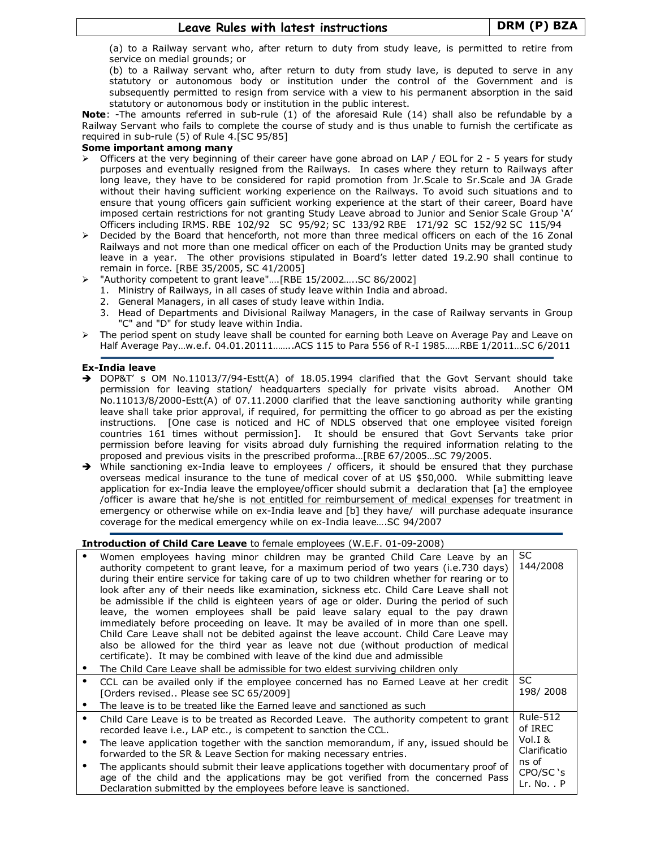(a) to a Railway servant who, after return to duty from study leave, is permitted to retire from service on medial grounds; or

(b) to a Railway servant who, after return to duty from study lave, is deputed to serve in any statutory or autonomous body or institution under the control of the Government and is subsequently permitted to resign from service with a view to his permanent absorption in the said statutory or autonomous body or institution in the public interest.

Note: -The amounts referred in sub-rule (1) of the aforesaid Rule (14) shall also be refundable by a Railway Servant who fails to complete the course of study and is thus unable to furnish the certificate as required in sub-rule (5) of Rule 4.[SC 95/85]

# Some important among many

- $\triangleright$  Officers at the very beginning of their career have gone abroad on LAP / EOL for 2 5 years for study purposes and eventually resigned from the Railways. In cases where they return to Railways after long leave, they have to be considered for rapid promotion from Jr. Scale to Sr. Scale and JA Grade without their having sufficient working experience on the Railways. To avoid such situations and to ensure that young officers gain sufficient working experience at the start of their career, Board have imposed certain restrictions for not granting Study Leave abroad to Junior and Senior Scale Group 'A' Officers including IRMS. RBE 102/92 SC 95/92; SC 133/92 RBE 171/92 SC 152/92 SC 115/94
- Decided by the Board that henceforth, not more than three medical officers on each of the 16 Zonal Railways and not more than one medical officer on each of the Production Units may be granted study leave in a year. The other provisions stipulated in Board's letter dated 19.2.90 shall continue to remain in force. [RBE 35/2005, SC 41/2005]
	- "Authority competent to grant leave"….[RBE 15/2002…..SC 86/2002]
	- 1. Ministry of Railways, in all cases of study leave within India and abroad.
	- 2. General Managers, in all cases of study leave within India.
	- 3. Head of Departments and Divisional Railway Managers, in the case of Railway servants in Group "C" and "D" for study leave within India.
- > The period spent on study leave shall be counted for earning both Leave on Average Pay and Leave on Half Average Pay…w.e.f. 04.01.20111……..ACS 115 to Para 556 of R-I 1985……RBE 1/2011…SC 6/2011

# Ex-India leave

- > DOP&T' s OM No.11013/7/94-Estt(A) of 18.05.1994 clarified that the Govt Servant should take permission for leaving station/ headquarters specially for private visits abroad. Another OM No.11013/8/2000-Estt(A) of 07.11.2000 clarified that the leave sanctioning authority while granting leave shall take prior approval, if required, for permitting the officer to go abroad as per the existing instructions. [One case is noticed and HC of NDLS observed that one employee visited foreign countries 161 times without permission]. It should be ensured that Govt Servants take prior permission before leaving for visits abroad duly furnishing the required information relating to the proposed and previous visits in the prescribed proforma…[RBE 67/2005…SC 79/2005.
- While sanctioning ex-India leave to employees / officers, it should be ensured that they purchase overseas medical insurance to the tune of medical cover of at US \$50,000. While submitting leave application for ex-India leave the employee/officer should submit a declaration that [a] the employee /officer is aware that he/she is not entitled for reimbursement of medical expenses for treatment in emergency or otherwise while on ex-India leave and [b] they have/ will purchase adequate insurance coverage for the medical emergency while on ex-India leave….SC 94/2007

# Introduction of Child Care Leave to female employees (W.E.F. 01-09-2008)

| Women employees having minor children may be granted Child Care Leave by an<br>authority competent to grant leave, for a maximum period of two years (i.e.730 days)<br>during their entire service for taking care of up to two children whether for rearing or to<br>look after any of their needs like examination, sickness etc. Child Care Leave shall not<br>be admissible if the child is eighteen years of age or older. During the period of such<br>leave, the women employees shall be paid leave salary equal to the pay drawn<br>immediately before proceeding on leave. It may be availed of in more than one spell.<br>Child Care Leave shall not be debited against the leave account. Child Care Leave may<br>also be allowed for the third year as leave not due (without production of medical<br>certificate). It may be combined with leave of the kind due and admissible<br>The Child Care Leave shall be admissible for two eldest surviving children only | SC.<br>144/2008                                                                             |
|-----------------------------------------------------------------------------------------------------------------------------------------------------------------------------------------------------------------------------------------------------------------------------------------------------------------------------------------------------------------------------------------------------------------------------------------------------------------------------------------------------------------------------------------------------------------------------------------------------------------------------------------------------------------------------------------------------------------------------------------------------------------------------------------------------------------------------------------------------------------------------------------------------------------------------------------------------------------------------------|---------------------------------------------------------------------------------------------|
| CCL can be availed only if the employee concerned has no Earned Leave at her credit<br>[Orders revised Please see SC 65/2009]<br>The leave is to be treated like the Earned leave and sanctioned as such                                                                                                                                                                                                                                                                                                                                                                                                                                                                                                                                                                                                                                                                                                                                                                          | SC<br>198/2008                                                                              |
| Child Care Leave is to be treated as Recorded Leave. The authority competent to grant<br>recorded leave i.e., LAP etc., is competent to sanction the CCL.<br>The leave application together with the sanction memorandum, if any, issued should be<br>forwarded to the SR & Leave Section for making necessary entries.<br>The applicants should submit their leave applications together with documentary proof of<br>age of the child and the applications may be got verified from the concerned Pass<br>Declaration submitted by the employees before leave is sanctioned.                                                                                                                                                                                                                                                                                                                                                                                                    | <b>Rule-512</b><br>of IREC<br>Vol. $I$ &<br>Clarificatio<br>ns of<br>CPO/SC 's<br>Lr. No. P |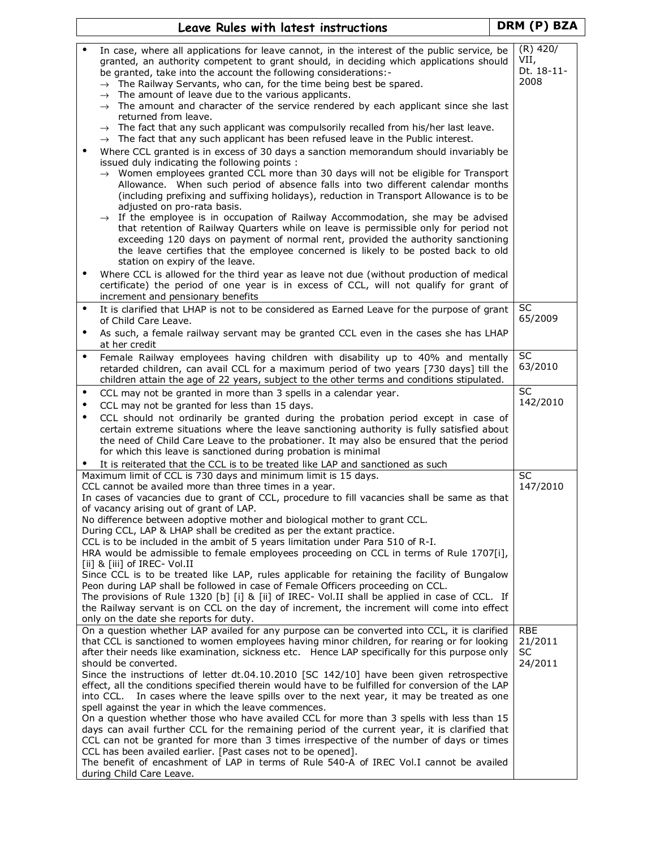|                        | Leave Rules with latest instructions                                                                                                                                                                                                                                                                                                                                                                                                                                                                                                                                                                                                                                                                                                                                                                                                                                                                                                                                                                                                                                                                                                                                                                                                                                                                                                                                                                                                                                                                                                                                                                          |  | DRM (P) BZA                                   |  |
|------------------------|---------------------------------------------------------------------------------------------------------------------------------------------------------------------------------------------------------------------------------------------------------------------------------------------------------------------------------------------------------------------------------------------------------------------------------------------------------------------------------------------------------------------------------------------------------------------------------------------------------------------------------------------------------------------------------------------------------------------------------------------------------------------------------------------------------------------------------------------------------------------------------------------------------------------------------------------------------------------------------------------------------------------------------------------------------------------------------------------------------------------------------------------------------------------------------------------------------------------------------------------------------------------------------------------------------------------------------------------------------------------------------------------------------------------------------------------------------------------------------------------------------------------------------------------------------------------------------------------------------------|--|-----------------------------------------------|--|
| $\bullet$              | In case, where all applications for leave cannot, in the interest of the public service, be<br>granted, an authority competent to grant should, in deciding which applications should<br>be granted, take into the account the following considerations:-<br>$\rightarrow$ The Railway Servants, who can, for the time being best be spared.<br>$\rightarrow$ The amount of leave due to the various applicants.<br>$\rightarrow$ The amount and character of the service rendered by each applicant since she last<br>returned from leave.<br>$\rightarrow$ The fact that any such applicant was compulsorily recalled from his/her last leave.<br>$\rightarrow$ The fact that any such applicant has been refused leave in the Public interest.<br>Where CCL granted is in excess of 30 days a sanction memorandum should invariably be<br>issued duly indicating the following points :<br>$\rightarrow$ Women employees granted CCL more than 30 days will not be eligible for Transport<br>Allowance. When such period of absence falls into two different calendar months<br>(including prefixing and suffixing holidays), reduction in Transport Allowance is to be<br>adjusted on pro-rata basis.<br>$\rightarrow$ If the employee is in occupation of Railway Accommodation, she may be advised<br>that retention of Railway Quarters while on leave is permissible only for period not<br>exceeding 120 days on payment of normal rent, provided the authority sanctioning<br>the leave certifies that the employee concerned is likely to be posted back to old<br>station on expiry of the leave. |  | $(R)$ 420/<br>VII,<br>Dt. 18-11-<br>2008      |  |
| $\bullet$              | Where CCL is allowed for the third year as leave not due (without production of medical<br>certificate) the period of one year is in excess of CCL, will not qualify for grant of<br>increment and pensionary benefits                                                                                                                                                                                                                                                                                                                                                                                                                                                                                                                                                                                                                                                                                                                                                                                                                                                                                                                                                                                                                                                                                                                                                                                                                                                                                                                                                                                        |  |                                               |  |
| $\bullet$<br>$\bullet$ | It is clarified that LHAP is not to be considered as Earned Leave for the purpose of grant<br>of Child Care Leave.<br>As such, a female railway servant may be granted CCL even in the cases she has LHAP<br>at her credit                                                                                                                                                                                                                                                                                                                                                                                                                                                                                                                                                                                                                                                                                                                                                                                                                                                                                                                                                                                                                                                                                                                                                                                                                                                                                                                                                                                    |  | SC<br>65/2009                                 |  |
| $\bullet$              | Female Railway employees having children with disability up to 40% and mentally<br>retarded children, can avail CCL for a maximum period of two years [730 days] till the<br>children attain the age of 22 years, subject to the other terms and conditions stipulated.                                                                                                                                                                                                                                                                                                                                                                                                                                                                                                                                                                                                                                                                                                                                                                                                                                                                                                                                                                                                                                                                                                                                                                                                                                                                                                                                       |  | $\overline{SC}$<br>63/2010                    |  |
| $\bullet$<br>٠         | CCL may not be granted in more than 3 spells in a calendar year.<br>CCL may not be granted for less than 15 days.                                                                                                                                                                                                                                                                                                                                                                                                                                                                                                                                                                                                                                                                                                                                                                                                                                                                                                                                                                                                                                                                                                                                                                                                                                                                                                                                                                                                                                                                                             |  | <b>SC</b><br>142/2010                         |  |
| $\bullet$              | CCL should not ordinarily be granted during the probation period except in case of<br>certain extreme situations where the leave sanctioning authority is fully satisfied about<br>the need of Child Care Leave to the probationer. It may also be ensured that the period<br>for which this leave is sanctioned during probation is minimal<br>It is reiterated that the CCL is to be treated like LAP and sanctioned as such                                                                                                                                                                                                                                                                                                                                                                                                                                                                                                                                                                                                                                                                                                                                                                                                                                                                                                                                                                                                                                                                                                                                                                                |  |                                               |  |
|                        | Maximum limit of CCL is 730 days and minimum limit is 15 days.<br>CCL cannot be availed more than three times in a year.                                                                                                                                                                                                                                                                                                                                                                                                                                                                                                                                                                                                                                                                                                                                                                                                                                                                                                                                                                                                                                                                                                                                                                                                                                                                                                                                                                                                                                                                                      |  | SC<br>147/2010                                |  |
|                        | In cases of vacancies due to grant of CCL, procedure to fill vacancies shall be same as that<br>of vacancy arising out of grant of LAP.<br>No difference between adoptive mother and biological mother to grant CCL.<br>During CCL, LAP & LHAP shall be credited as per the extant practice.<br>CCL is to be included in the ambit of 5 years limitation under Para 510 of R-I.<br>HRA would be admissible to female employees proceeding on CCL in terms of Rule 1707[i],<br>[ii] & [iii] of IREC- Vol.II<br>Since CCL is to be treated like LAP, rules applicable for retaining the facility of Bungalow<br>Peon during LAP shall be followed in case of Female Officers proceeding on CCL.<br>The provisions of Rule 1320 [b] [i] & [ii] of IREC- Vol.II shall be applied in case of CCL. If<br>the Railway servant is on CCL on the day of increment, the increment will come into effect<br>only on the date she reports for duty.                                                                                                                                                                                                                                                                                                                                                                                                                                                                                                                                                                                                                                                                       |  |                                               |  |
|                        | On a question whether LAP availed for any purpose can be converted into CCL, it is clarified<br>that CCL is sanctioned to women employees having minor children, for rearing or for looking<br>after their needs like examination, sickness etc. Hence LAP specifically for this purpose only<br>should be converted.<br>Since the instructions of letter dt.04.10.2010 [SC 142/10] have been given retrospective<br>effect, all the conditions specified therein would have to be fulfilled for conversion of the LAP<br>into CCL. In cases where the leave spills over to the next year, it may be treated as one<br>spell against the year in which the leave commences.<br>On a question whether those who have availed CCL for more than 3 spells with less than 15<br>days can avail further CCL for the remaining period of the current year, it is clarified that<br>CCL can not be granted for more than 3 times irrespective of the number of days or times<br>CCL has been availed earlier. [Past cases not to be opened].<br>The benefit of encashment of LAP in terms of Rule 540-A of IREC Vol.I cannot be availed<br>during Child Care Leave.                                                                                                                                                                                                                                                                                                                                                                                                                                                  |  | <b>RBE</b><br>21/2011<br><b>SC</b><br>24/2011 |  |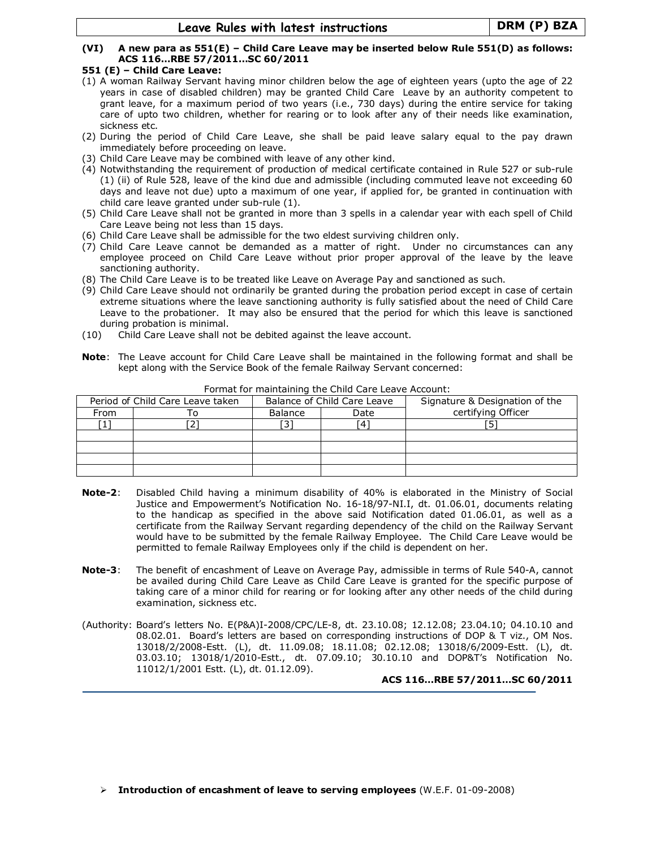# (VI) A new para as 551(E) – Child Care Leave may be inserted below Rule 551(D) as follows: ACS 116…RBE 57/2011…SC 60/2011

### 551 (E) – Child Care Leave:

- (1) A woman Railway Servant having minor children below the age of eighteen years (upto the age of 22 years in case of disabled children) may be granted Child Care Leave by an authority competent to grant leave, for a maximum period of two years (i.e., 730 days) during the entire service for taking care of upto two children, whether for rearing or to look after any of their needs like examination, sickness etc.
- (2) During the period of Child Care Leave, she shall be paid leave salary equal to the pay drawn immediately before proceeding on leave.
- (3) Child Care Leave may be combined with leave of any other kind.
- (4) Notwithstanding the requirement of production of medical certificate contained in Rule 527 or sub-rule (1) (ii) of Rule 528, leave of the kind due and admissible (including commuted leave not exceeding 60 days and leave not due) upto a maximum of one year, if applied for, be granted in continuation with child care leave granted under sub-rule (1).
- (5) Child Care Leave shall not be granted in more than 3 spells in a calendar year with each spell of Child Care Leave being not less than 15 days.
- (6) Child Care Leave shall be admissible for the two eldest surviving children only.
- (7) Child Care Leave cannot be demanded as a matter of right. Under no circumstances can any employee proceed on Child Care Leave without prior proper approval of the leave by the leave sanctioning authority.
- (8) The Child Care Leave is to be treated like Leave on Average Pay and sanctioned as such.
- (9) Child Care Leave should not ordinarily be granted during the probation period except in case of certain extreme situations where the leave sanctioning authority is fully satisfied about the need of Child Care Leave to the probationer. It may also be ensured that the period for which this leave is sanctioned during probation is minimal.
- (10) Child Care Leave shall not be debited against the leave account.
- Note: The Leave account for Child Care Leave shall be maintained in the following format and shall be kept along with the Service Book of the female Railway Servant concerned:

|                                  | Tomation maintaining the ormal care Ecare riccoditti |                             |      |                                |  |  |  |
|----------------------------------|------------------------------------------------------|-----------------------------|------|--------------------------------|--|--|--|
| Period of Child Care Leave taken |                                                      | Balance of Child Care Leave |      | Signature & Designation of the |  |  |  |
| From                             |                                                      | Balance                     | Date | certifying Officer             |  |  |  |
|                                  |                                                      |                             |      |                                |  |  |  |
|                                  |                                                      |                             |      |                                |  |  |  |
|                                  |                                                      |                             |      |                                |  |  |  |
|                                  |                                                      |                             |      |                                |  |  |  |
|                                  |                                                      |                             |      |                                |  |  |  |

Format for maintaining the Child Care Leave Account:

- Note-2: Disabled Child having a minimum disability of 40% is elaborated in the Ministry of Social Justice and Empowerment's Notification No. 16-18/97-NI.I, dt. 01.06.01, documents relating to the handicap as specified in the above said Notification dated 01.06.01, as well as a certificate from the Railway Servant regarding dependency of the child on the Railway Servant would have to be submitted by the female Railway Employee. The Child Care Leave would be permitted to female Railway Employees only if the child is dependent on her.
- Note-3: The benefit of encashment of Leave on Average Pay, admissible in terms of Rule 540-A, cannot be availed during Child Care Leave as Child Care Leave is granted for the specific purpose of taking care of a minor child for rearing or for looking after any other needs of the child during examination, sickness etc.
- (Authority: Board's letters No. E(P&A)I-2008/CPC/LE-8, dt. 23.10.08; 12.12.08; 23.04.10; 04.10.10 and 08.02.01. Board's letters are based on corresponding instructions of DOP & T viz., OM Nos. 13018/2/2008-Estt. (L), dt. 11.09.08; 18.11.08; 02.12.08; 13018/6/2009-Estt. (L), dt. 03.03.10; 13018/1/2010-Estt., dt. 07.09.10; 30.10.10 and DOP&T's Notification No. 11012/1/2001 Estt. (L), dt. 01.12.09).

ACS 116…RBE 57/2011…SC 60/2011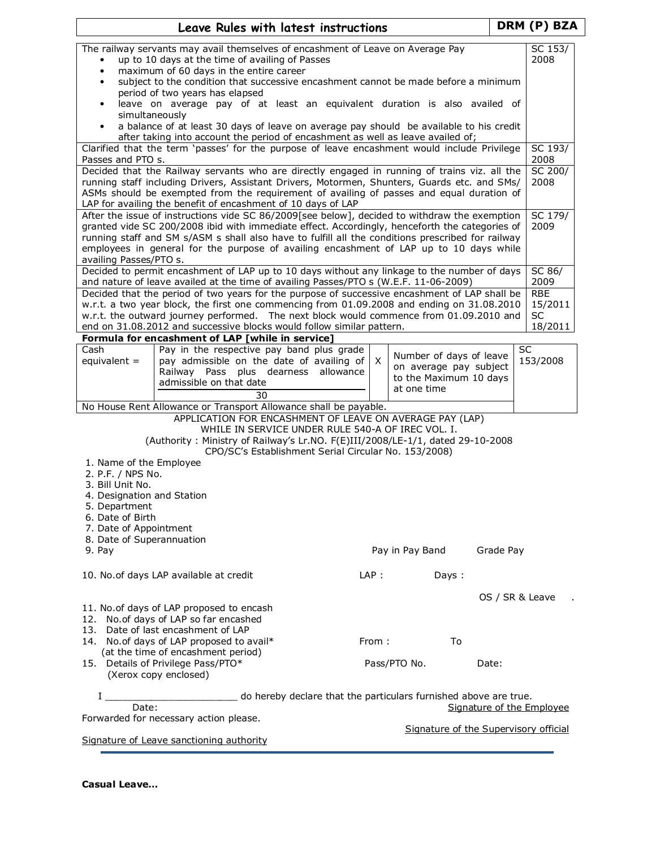|                                              |                                                                                                                                                                                             | Leave Rules with latest instructions                                                                          |           |          |                                                   |       |                                       | DRM (P) BZA        |  |
|----------------------------------------------|---------------------------------------------------------------------------------------------------------------------------------------------------------------------------------------------|---------------------------------------------------------------------------------------------------------------|-----------|----------|---------------------------------------------------|-------|---------------------------------------|--------------------|--|
|                                              | The railway servants may avail themselves of encashment of Leave on Average Pay                                                                                                             |                                                                                                               |           |          |                                                   |       |                                       | SC 153/            |  |
| $\bullet$                                    | up to 10 days at the time of availing of Passes<br>maximum of 60 days in the entire career                                                                                                  |                                                                                                               |           |          |                                                   |       |                                       | 2008               |  |
| $\bullet$<br>٠                               | subject to the condition that successive encashment cannot be made before a minimum                                                                                                         |                                                                                                               |           |          |                                                   |       |                                       |                    |  |
|                                              | period of two years has elapsed                                                                                                                                                             |                                                                                                               |           |          |                                                   |       |                                       |                    |  |
| $\bullet$<br>simultaneously                  | leave on average pay of at least an equivalent duration is also availed of                                                                                                                  |                                                                                                               |           |          |                                                   |       |                                       |                    |  |
|                                              | a balance of at least 30 days of leave on average pay should be available to his credit                                                                                                     |                                                                                                               |           |          |                                                   |       |                                       |                    |  |
|                                              | after taking into account the period of encashment as well as leave availed of;                                                                                                             |                                                                                                               |           |          |                                                   |       |                                       |                    |  |
| Passes and PTO s.                            | Clarified that the term 'passes' for the purpose of leave encashment would include Privilege                                                                                                |                                                                                                               |           |          |                                                   |       |                                       | SC 193/<br>2008    |  |
|                                              | Decided that the Railway servants who are directly engaged in running of trains viz. all the                                                                                                |                                                                                                               |           |          |                                                   |       |                                       | SC 200/            |  |
|                                              | running staff including Drivers, Assistant Drivers, Motormen, Shunters, Guards etc. and SMs/                                                                                                |                                                                                                               |           |          |                                                   |       |                                       | 2008               |  |
|                                              | ASMs should be exempted from the requirement of availing of passes and equal duration of<br>LAP for availing the benefit of encashment of 10 days of LAP                                    |                                                                                                               |           |          |                                                   |       |                                       |                    |  |
|                                              | After the issue of instructions vide SC 86/2009[see below], decided to withdraw the exemption                                                                                               |                                                                                                               |           |          |                                                   |       |                                       | SC 179/            |  |
|                                              | granted vide SC 200/2008 ibid with immediate effect. Accordingly, henceforth the categories of                                                                                              |                                                                                                               |           |          |                                                   |       |                                       | 2009               |  |
|                                              | running staff and SM s/ASM s shall also have to fulfill all the conditions prescribed for railway<br>employees in general for the purpose of availing encashment of LAP up to 10 days while |                                                                                                               |           |          |                                                   |       |                                       |                    |  |
| availing Passes/PTO s.                       |                                                                                                                                                                                             |                                                                                                               |           |          |                                                   |       |                                       |                    |  |
|                                              | Decided to permit encashment of LAP up to 10 days without any linkage to the number of days                                                                                                 |                                                                                                               |           |          |                                                   |       |                                       | SC 86/             |  |
|                                              | and nature of leave availed at the time of availing Passes/PTO s (W.E.F. 11-06-2009)<br>Decided that the period of two years for the purpose of successive encashment of LAP shall be       |                                                                                                               |           |          |                                                   |       |                                       | 2009<br><b>RBE</b> |  |
|                                              | w.r.t. a two year block, the first one commencing from 01.09.2008 and ending on 31.08.2010                                                                                                  |                                                                                                               |           |          |                                                   |       |                                       | 15/2011            |  |
|                                              | w.r.t. the outward journey performed. The next block would commence from 01.09.2010 and                                                                                                     |                                                                                                               |           |          |                                                   |       |                                       | <b>SC</b>          |  |
|                                              | end on 31.08.2012 and successive blocks would follow similar pattern.<br>Formula for encashment of LAP [while in service]                                                                   |                                                                                                               |           |          |                                                   |       |                                       | 18/2011            |  |
| Cash                                         | Pay in the respective pay band plus grade                                                                                                                                                   |                                                                                                               |           |          |                                                   |       |                                       | <b>SC</b>          |  |
| equivalent $=$                               | pay admissible on the date of availing of                                                                                                                                                   |                                                                                                               |           | $\times$ | Number of days of leave<br>on average pay subject |       |                                       | 153/2008           |  |
|                                              | Railway Pass plus dearness<br>admissible on that date                                                                                                                                       |                                                                                                               | allowance |          | to the Maximum 10 days                            |       |                                       |                    |  |
|                                              |                                                                                                                                                                                             | 30                                                                                                            |           |          | at one time                                       |       |                                       |                    |  |
|                                              | No House Rent Allowance or Transport Allowance shall be payable.                                                                                                                            |                                                                                                               |           |          |                                                   |       |                                       |                    |  |
|                                              |                                                                                                                                                                                             | APPLICATION FOR ENCASHMENT OF LEAVE ON AVERAGE PAY (LAP)<br>WHILE IN SERVICE UNDER RULE 540-A OF IREC VOL. I. |           |          |                                                   |       |                                       |                    |  |
|                                              | (Authority: Ministry of Railway's Lr.NO. F(E)III/2008/LE-1/1, dated 29-10-2008                                                                                                              |                                                                                                               |           |          |                                                   |       |                                       |                    |  |
|                                              |                                                                                                                                                                                             | CPO/SC's Establishment Serial Circular No. 153/2008)                                                          |           |          |                                                   |       |                                       |                    |  |
| 1. Name of the Employee<br>2. P.F. / NPS No. |                                                                                                                                                                                             |                                                                                                               |           |          |                                                   |       |                                       |                    |  |
| 3. Bill Unit No.                             |                                                                                                                                                                                             |                                                                                                               |           |          |                                                   |       |                                       |                    |  |
| 4. Designation and Station                   |                                                                                                                                                                                             |                                                                                                               |           |          |                                                   |       |                                       |                    |  |
| 5. Department<br>6. Date of Birth            |                                                                                                                                                                                             |                                                                                                               |           |          |                                                   |       |                                       |                    |  |
| 7. Date of Appointment                       |                                                                                                                                                                                             |                                                                                                               |           |          |                                                   |       |                                       |                    |  |
| 8. Date of Superannuation<br>9. Pay          |                                                                                                                                                                                             |                                                                                                               |           |          | Pay in Pay Band                                   |       | Grade Pay                             |                    |  |
|                                              |                                                                                                                                                                                             |                                                                                                               |           |          |                                                   |       |                                       |                    |  |
|                                              | 10. No. of days LAP available at credit                                                                                                                                                     |                                                                                                               |           | LAP:     |                                                   | Days: |                                       |                    |  |
|                                              |                                                                                                                                                                                             |                                                                                                               |           |          |                                                   |       |                                       |                    |  |
|                                              | 11. No.of days of LAP proposed to encash                                                                                                                                                    |                                                                                                               |           |          |                                                   |       | OS / SR & Leave                       |                    |  |
|                                              | 12. No. of days of LAP so far encashed                                                                                                                                                      |                                                                                                               |           |          |                                                   |       |                                       |                    |  |
|                                              | 13. Date of last encashment of LAP                                                                                                                                                          |                                                                                                               |           |          |                                                   |       |                                       |                    |  |
|                                              | 14. No. of days of LAP proposed to avail*<br>(at the time of encashment period)                                                                                                             |                                                                                                               |           | From:    |                                                   | To    |                                       |                    |  |
|                                              | 15. Details of Privilege Pass/PTO*                                                                                                                                                          |                                                                                                               |           |          | Pass/PTO No.                                      |       | Date:                                 |                    |  |
|                                              | (Xerox copy enclosed)                                                                                                                                                                       |                                                                                                               |           |          |                                                   |       |                                       |                    |  |
|                                              |                                                                                                                                                                                             | do hereby declare that the particulars furnished above are true.                                              |           |          |                                                   |       |                                       |                    |  |
| Date:                                        |                                                                                                                                                                                             |                                                                                                               |           |          |                                                   |       | Signature of the Employee             |                    |  |
|                                              | Forwarded for necessary action please.                                                                                                                                                      |                                                                                                               |           |          |                                                   |       | Signature of the Supervisory official |                    |  |
|                                              | Signature of Leave sanctioning authority                                                                                                                                                    |                                                                                                               |           |          |                                                   |       |                                       |                    |  |

<u> 1989 - Johann Stoff, amerikansk politiker (d. 1989)</u>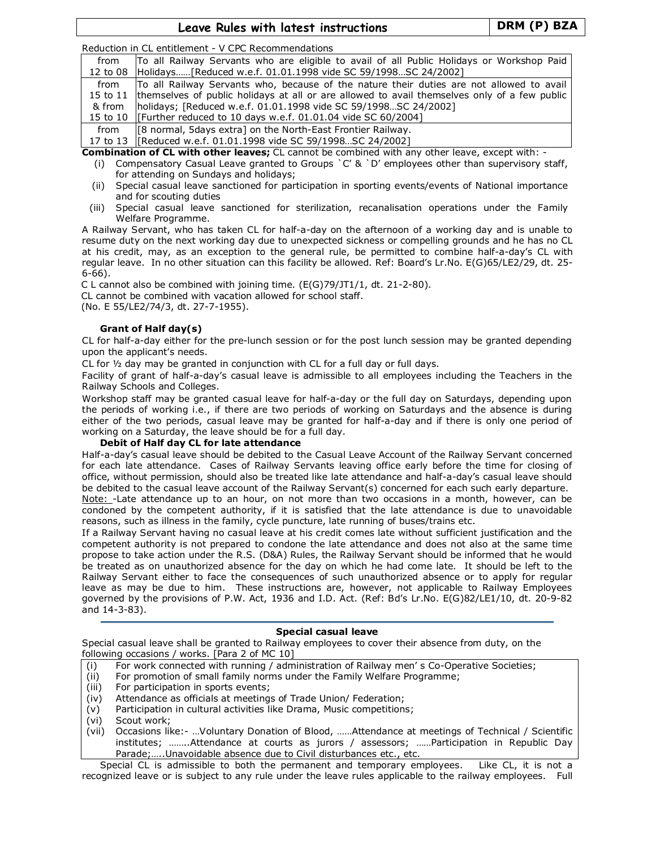Leave Rules with latest instructions Fig. 2014 | DRM (P) BZA

Reduction in CL entitlement - V CPC Recommendations

| from   | To all Railway Servants who are eligible to avail of all Public Holidays or Workshop Paid              |
|--------|--------------------------------------------------------------------------------------------------------|
|        | 12 to 08 Holidays [Reduced w.e.f. 01.01.1998 vide SC 59/1998SC 24/2002]                                |
| from   | To all Railway Servants who, because of the nature their duties are not allowed to avail               |
|        | 15 to 11  themselves of public holidays at all or are allowed to avail themselves only of a few public |
| & from | holidays; [Reduced w.e.f. 01.01.1998 vide SC 59/1998SC 24/2002]                                        |
|        | 15 to 10   [Further reduced to 10 days w.e.f. 01.01.04 vide SC 60/2004]                                |
| from   | [8 normal, 5 days extra] on the North-East Frontier Railway.                                           |
|        | 17 to 13   [Reduced w.e.f. 01.01.1998 vide SC 59/1998 SC 24/2002]                                      |

Combination of CL with other leaves; CL cannot be combined with any other leave, except with: -

- (i) Compensatory Casual Leave granted to Groups  $\degree$ C' &  $\degree$ D' employees other than supervisory staff, for attending on Sundays and holidays;
- (ii) Special casual leave sanctioned for participation in sporting events/events of National importance and for scouting duties
- (iii) Special casual leave sanctioned for sterilization, recanalisation operations under the Family Welfare Programme.

A Railway Servant, who has taken CL for half-a-day on the afternoon of a working day and is unable to resume duty on the next working day due to unexpected sickness or compelling grounds and he has no CL at his credit, may, as an exception to the general rule, be permitted to combine half-a-day's CL with regular leave. In no other situation can this facility be allowed. Ref: Board's Lr.No. E(G)65/LE2/29, dt. 25- 6-66).

C L cannot also be combined with joining time. (E(G)79/JT1/1, dt. 21-2-80). CL cannot be combined with vacation allowed for school staff. (No. E 55/LE2/74/3, dt. 27-7-1955).

# Grant of Half day(s)

CL for half-a-day either for the pre-lunch session or for the post lunch session may be granted depending upon the applicant's needs.

CL for ½ day may be granted in conjunction with CL for a full day or full days.

Facility of grant of half-a-day's casual leave is admissible to all employees including the Teachers in the Railway Schools and Colleges.

Workshop staff may be granted casual leave for half-a-day or the full day on Saturdays, depending upon the periods of working i.e., if there are two periods of working on Saturdays and the absence is during either of the two periods, casual leave may be granted for half-a-day and if there is only one period of working on a Saturday, the leave should be for a full day.

# Debit of Half day CL for late attendance

Half-a-day's casual leave should be debited to the Casual Leave Account of the Railway Servant concerned for each late attendance. Cases of Railway Servants leaving office early before the time for closing of office, without permission, should also be treated like late attendance and half-a-day's casual leave should be debited to the casual leave account of the Railway Servant(s) concerned for each such early departure. Note: -Late attendance up to an hour, on not more than two occasions in a month, however, can be

condoned by the competent authority, if it is satisfied that the late attendance is due to unavoidable reasons, such as illness in the family, cycle puncture, late running of buses/trains etc.

If a Railway Servant having no casual leave at his credit comes late without sufficient justification and the competent authority is not prepared to condone the late attendance and does not also at the same time propose to take action under the R.S. (D&A) Rules, the Railway Servant should be informed that he would be treated as on unauthorized absence for the day on which he had come late. It should be left to the Railway Servant either to face the consequences of such unauthorized absence or to apply for regular leave as may be due to him. These instructions are, however, not applicable to Railway Employees governed by the provisions of P.W. Act, 1936 and I.D. Act. (Ref: Bd's Lr.No. E(G)82/LE1/10, dt. 20-9-82 and 14-3-83).

#### Special casual leave

Special casual leave shall be granted to Railway employees to cover their absence from duty, on the following occasions / works. [Para 2 of MC 10]

- (i) For work connected with running / administration of Railway men' s Co-Operative Societies;
- (ii) For promotion of small family norms under the Family Welfare Programme;
- (iii) For participation in sports events;
- (iv) Attendance as officials at meetings of Trade Union/ Federation;
- (v) Participation in cultural activities like Drama, Music competitions;

(vii) Occasions like:- …Voluntary Donation of Blood, ……Attendance at meetings of Technical / Scientific institutes; ……..Attendance at courts as jurors / assessors; ……Participation in Republic Day Parade;…..Unavoidable absence due to Civil disturbances etc., etc.

Special CL is admissible to both the permanent and temporary employees. Like CL, it is not a recognized leave or is subject to any rule under the leave rules applicable to the railway employees. Full

<sup>(</sup>vi) Scout work;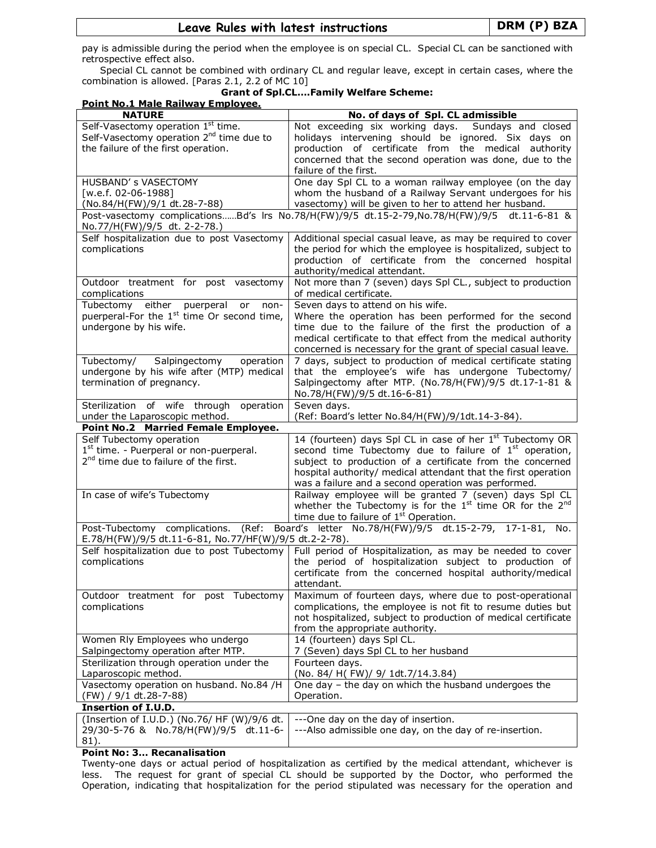# Leave Rules with latest instructions | DRM (P) BZA

pay is admissible during the period when the employee is on special CL. Special CL can be sanctioned with retrospective effect also.

Special CL cannot be combined with ordinary CL and regular leave, except in certain cases, where the combination is allowed. [Paras 2.1, 2.2 of MC 10]

# Grant of Spl.CL….Family Welfare Scheme:

| Point No.1 Male Railway Employee.                                                     |                                                                                                               |
|---------------------------------------------------------------------------------------|---------------------------------------------------------------------------------------------------------------|
| <b>NATURE</b>                                                                         | No. of days of Spl. CL admissible                                                                             |
| Self-Vasectomy operation 1 <sup>st</sup> time.                                        | Not exceeding six working days. Sundays and closed                                                            |
| Self-Vasectomy operation 2 <sup>nd</sup> time due to                                  | holidays intervening should be ignored. Six days on                                                           |
| the failure of the first operation.                                                   | production of certificate from the medical authority                                                          |
|                                                                                       | concerned that the second operation was done, due to the<br>failure of the first.                             |
| HUSBAND' s VASECTOMY                                                                  | One day Spl CL to a woman railway employee (on the day                                                        |
| [w.e.f. 02-06-1988]                                                                   | whom the husband of a Railway Servant undergoes for his                                                       |
| (No.84/H(FW)/9/1 dt.28-7-88)                                                          | vasectomy) will be given to her to attend her husband.                                                        |
|                                                                                       | Post-vasectomy complicationsBd's lrs No.78/H(FW)/9/5 dt.15-2-79,No.78/H(FW)/9/5 dt.11-6-81 &                  |
| No.77/H(FW)/9/5 dt. 2-2-78.)                                                          |                                                                                                               |
| Self hospitalization due to post Vasectomy                                            | Additional special casual leave, as may be required to cover                                                  |
| complications                                                                         | the period for which the employee is hospitalized, subject to                                                 |
|                                                                                       | production of certificate from the concerned hospital                                                         |
|                                                                                       | authority/medical attendant.                                                                                  |
| Outdoor treatment for post vasectomy<br>complications                                 | Not more than 7 (seven) days Spl CL., subject to production<br>of medical certificate.                        |
| Tubectomy either puerperal<br>or<br>non-                                              | Seven days to attend on his wife.                                                                             |
| puerperal-For the 1 <sup>st</sup> time Or second time,                                | Where the operation has been performed for the second                                                         |
| undergone by his wife.                                                                | time due to the failure of the first the production of a                                                      |
|                                                                                       | medical certificate to that effect from the medical authority                                                 |
|                                                                                       | concerned is necessary for the grant of special casual leave.                                                 |
| Tubectomy/ Salpingectomy<br>operation                                                 | 7 days, subject to production of medical certificate stating                                                  |
| undergone by his wife after (MTP) medical                                             | that the employee's wife has undergone Tubectomy/                                                             |
| termination of pregnancy.                                                             | Salpingectomy after MTP. (No.78/H(FW)/9/5 dt.17-1-81 &                                                        |
|                                                                                       | No.78/H(FW)/9/5 dt.16-6-81)                                                                                   |
| Sterilization of wife through<br>operation                                            | Seven days.                                                                                                   |
| under the Laparoscopic method.                                                        | (Ref: Board's letter No.84/H(FW)/9/1dt.14-3-84).                                                              |
| Point No.2 Married Female Employee.                                                   |                                                                                                               |
| Self Tubectomy operation                                                              | 14 (fourteen) days Spl CL in case of her 1 <sup>st</sup> Tubectomy OR                                         |
| $1st$ time. - Puerperal or non-puerperal.                                             | second time Tubectomy due to failure of 1 <sup>st</sup> operation,                                            |
| 2 <sup>nd</sup> time due to failure of the first.                                     | subject to production of a certificate from the concerned                                                     |
|                                                                                       | hospital authority/ medical attendant that the first operation                                                |
| In case of wife's Tubectomy                                                           | was a failure and a second operation was performed.<br>Railway employee will be granted 7 (seven) days Spl CL |
|                                                                                       | whether the Tubectomy is for the $1st$ time OR for the $2nd$                                                  |
|                                                                                       | time due to failure of 1 <sup>st</sup> Operation.                                                             |
| Post-Tubectomy complications.<br>(Ref:                                                | Board's letter No.78/H(FW)/9/5 dt.15-2-79, 17-1-81, No.                                                       |
| E.78/H(FW)/9/5 dt.11-6-81, No.77/HF(W)/9/5 dt.2-2-78).                                |                                                                                                               |
| Self hospitalization due to post Tubectomy                                            | Full period of Hospitalization, as may be needed to cover                                                     |
| complications                                                                         | the period of hospitalization subject to production of                                                        |
|                                                                                       | certificate from the concerned hospital authority/medical                                                     |
|                                                                                       | attendant.                                                                                                    |
| Outdoor treatment for post Tubectomy                                                  | Maximum of fourteen days, where due to post-operational                                                       |
| complications                                                                         | complications, the employee is not fit to resume duties but                                                   |
|                                                                                       | not hospitalized, subject to production of medical certificate                                                |
|                                                                                       | from the appropriate authority.                                                                               |
| Women Rly Employees who undergo                                                       | 14 (fourteen) days Spl CL.                                                                                    |
| Salpingectomy operation after MTP.                                                    | 7 (Seven) days Spl CL to her husband                                                                          |
| Sterilization through operation under the                                             | Fourteen days.                                                                                                |
| Laparoscopic method.                                                                  | (No. 84/ H(FW)/ 9/ 1dt.7/14.3.84)                                                                             |
| Vasectomy operation on husband. No.84 /H                                              | One day - the day on which the husband undergoes the                                                          |
| (FW) / 9/1 dt.28-7-88)                                                                | Operation.                                                                                                    |
| <b>Insertion of I.U.D.</b>                                                            |                                                                                                               |
| (Insertion of I.U.D.) (No.76/ HF (W)/9/6 dt.<br>29/30-5-76 & No.78/H(FW)/9/5 dt.11-6- | ---One day on the day of insertion.<br>---Also admissible one day, on the day of re-insertion.                |
| 81).                                                                                  |                                                                                                               |

### Point No: 3… Recanalisation

Twenty-one days or actual period of hospitalization as certified by the medical attendant, whichever is less. The request for grant of special CL should be supported by the Doctor, who performed the Operation, indicating that hospitalization for the period stipulated was necessary for the operation and